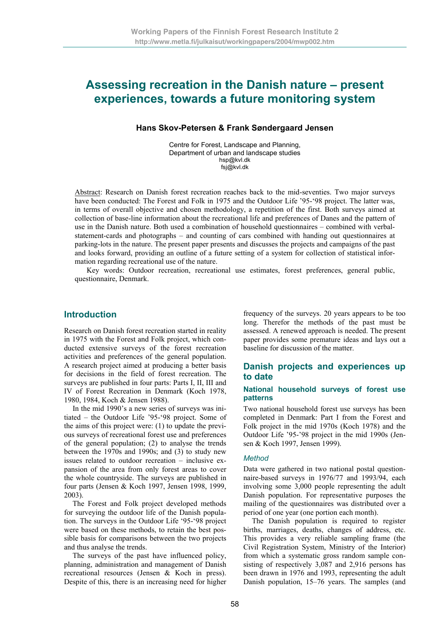# **Assessing recreation in the Danish nature – present experiences, towards a future monitoring system**

## **Hans Skov-Petersen & Frank Søndergaard Jensen**

Centre for Forest, Landscape and Planning, Department of urban and landscape studies hsp@kvl.dk fsj@kvl.dk

Abstract: Research on Danish forest recreation reaches back to the mid-seventies. Two major surveys have been conducted: The Forest and Folk in 1975 and the Outdoor Life '95-'98 project. The latter was, in terms of overall objective and chosen methodology, a repetition of the first. Both surveys aimed at collection of base-line information about the recreational life and preferences of Danes and the pattern of use in the Danish nature. Both used a combination of household questionnaires – combined with verbalstatement-cards and photographs – and counting of cars combined with handing out questionnaires at parking-lots in the nature. The present paper presents and discusses the projects and campaigns of the past and looks forward, providing an outline of a future setting of a system for collection of statistical information regarding recreational use of the nature.

Key words: Outdoor recreation, recreational use estimates, forest preferences, general public, questionnaire, Denmark.

## **Introduction**

Research on Danish forest recreation started in reality in 1975 with the Forest and Folk project, which conducted extensive surveys of the forest recreation activities and preferences of the general population. A research project aimed at producing a better basis for decisions in the field of forest recreation. The surveys are published in four parts: Parts I, II, III and IV of Forest Recreation in Denmark (Koch 1978, 1980, 1984, Koch & Jensen 1988).

In the mid 1990's a new series of surveys was initiated – the Outdoor Life '95-'98 project. Some of the aims of this project were: (1) to update the previous surveys of recreational forest use and preferences of the general population; (2) to analyse the trends between the 1970s and 1990s; and (3) to study new issues related to outdoor recreation – inclusive expansion of the area from only forest areas to cover the whole countryside. The surveys are published in four parts (Jensen & Koch 1997, Jensen 1998, 1999, 2003).

The Forest and Folk project developed methods for surveying the outdoor life of the Danish population. The surveys in the Outdoor Life '95-'98 project were based on these methods, to retain the best possible basis for comparisons between the two projects and thus analyse the trends.

The surveys of the past have influenced policy, planning, administration and management of Danish recreational resources (Jensen & Koch in press). Despite of this, there is an increasing need for higher frequency of the surveys. 20 years appears to be too long. Therefor the methods of the past must be assessed. A renewed approach is needed. The present paper provides some premature ideas and lays out a baseline for discussion of the matter.

## **Danish projects and experiences up to date**

#### **National household surveys of forest use patterns**

Two national household forest use surveys has been completed in Denmark: Part I from the Forest and Folk project in the mid 1970s (Koch 1978) and the Outdoor Life '95-'98 project in the mid 1990s (Jensen & Koch 1997, Jensen 1999).

#### *Method*

Data were gathered in two national postal questionnaire-based surveys in 1976/77 and 1993/94, each involving some 3,000 people representing the adult Danish population. For representative purposes the mailing of the questionnaires was distributed over a period of one year (one portion each month).

The Danish population is required to register births, marriages, deaths, changes of address, etc. This provides a very reliable sampling frame (the Civil Registration System, Ministry of the Interior) from which a systematic gross random sample consisting of respectively 3,087 and 2,916 persons has been drawn in 1976 and 1993, representing the adult Danish population, 15–76 years. The samples (and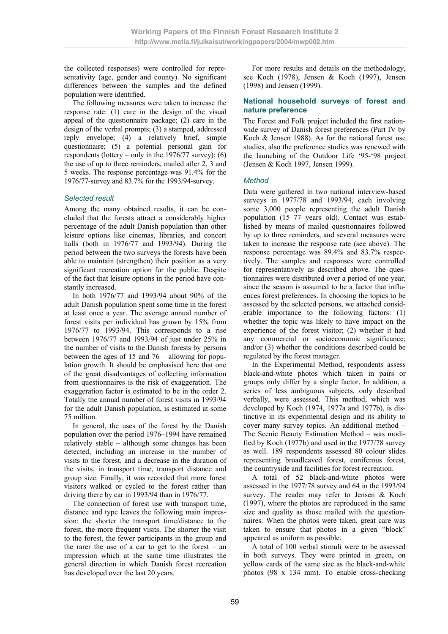the collected responses) were controlled for representativity (age, gender and county). No significant differences between the samples and the defined population were identified.

The following measures were taken to increase the response rate: (1) care in the design of the visual appeal of the questionnaire package; (2) care in the design of the verbal prompts; (3) a stamped, addressed reply envelope; (4) a relatively brief, simple questionnaire; (5) a potential personal gain for respondents (lottery – only in the  $1976/77$  survey); (6) the use of up to three reminders, mailed after 2, 3 and 5 weeks. The response percentage was 91.4% for the 1976/77-survey and 83.7% for the 1993/94-survey.

### *Selected result*

Among the many obtained results, it can be concluded that the forests attract a considerably higher percentage of the adult Danish population than other leisure options like cinemas, libraries, and concert halls (both in 1976/77 and 1993/94). During the period between the two surveys the forests have been able to maintain (strengthen) their position as a very significant recreation option for the public. Despite of the fact that leisure options in the period have constantly increased.

In both 1976/77 and 1993/94 about 90% of the adult Danish population spent some time in the forest at least once a year. The average annual number of forest visits per individual has grown by 15% from 1976/77 to 1993/94. This corresponds to a rise between 1976/77 and 1993/94 of just under 25% in the number of visits to the Danish forests by persons between the ages of 15 and 76 – allowing for population growth. It should be emphasised here that one of the great disadvantages of collecting information from questionnaires is the risk of exaggeration. The exaggeration factor is estimated to be in the order 2. Totally the annual number of forest visits in 1993/94 for the adult Danish population, is estimated at some 75 million.

In general, the uses of the forest by the Danish population over the period 1976–1994 have remained relatively stable – although some changes has been detected, including an increase in the number of visits to the forest, and a decrease in the duration of the visits, in transport time, transport distance and group size. Finally, it was recorded that more forest visitors walked or cycled to the forest rather than driving there by car in 1993/94 than in 1976/77.

The connection of forest use with transport time, distance and type leaves the following main impression: the shorter the transport time/distance to the forest, the more frequent visits. The shorter the visit to the forest, the fewer participants in the group and the rarer the use of a car to get to the forest  $-$  an impression which at the same time illustrates the general direction in which Danish forest recreation has developed over the last 20 years.

For more results and details on the methodology, see Koch (1978), Jensen & Koch (1997), Jensen (1998) and Jensen (1999).

### **National household surveys of forest and nature preference**

The Forest and Folk project included the first nationwide survey of Danish forest preferences (Part IV by Koch & Jensen 1988). As for the national forest use studies, also the preference studies was renewed with the launching of the Outdoor Life '95-'98 project (Jensen & Koch 1997, Jensen 1999).

### *Method*

Data were gathered in two national interview-based surveys in 1977/78 and 1993/94, each involving some 3,000 people representing the adult Danish population (15–77 years old). Contact was established by means of mailed questionnaires followed by up to three reminders, and several measures were taken to increase the response rate (see above). The response percentage was 89.4% and 83.7% respectively. The samples and responses were controlled for representatively as described above. The questionnaires were distributed over a period of one year, since the season is assumed to be a factor that influences forest preferences. In choosing the topics to be assessed by the selected persons, we attached considerable importance to the following factors: (1) whether the topic was likely to have impact on the experience of the forest visitor; (2) whether it had any commercial or socioeconomic significance; and/or (3) whether the conditions described could be regulated by the forest manager.

In the Experimental Method, respondents assess black-and-white photos which taken in pairs or groups only differ by a single factor. In addition, a series of less ambiguous subjects, only described verbally, were assessed. This method, which was developed by Koch (1974, 1977a and 1977b), is distinctive in its experimental design and its ability to cover many survey topics. An additional method – The Scenic Beauty Estimation Method – was modified by Koch (1977b) and used in the 1977/78 survey as well. 189 respondents assessed 80 colour slides representing broadleaved forest, coniferous forest, the countryside and facilities for forest recreation.

A total of 52 black-and-white photos were assessed in the 1977/78 survey and 64 in the 1993/94 survey. The reader may refer to Jensen & Koch (1997), where the photos are reproduced in the same size and quality as those mailed with the questionnaires. When the photos were taken, great care was taken to ensure that photos in a given "block" appeared as uniform as possible.

A total of 100 verbal stimuli were to be assessed in both surveys. They were printed in green, on yellow cards of the same size as the black-and-white photos (98 x 134 mm). To enable cross-checking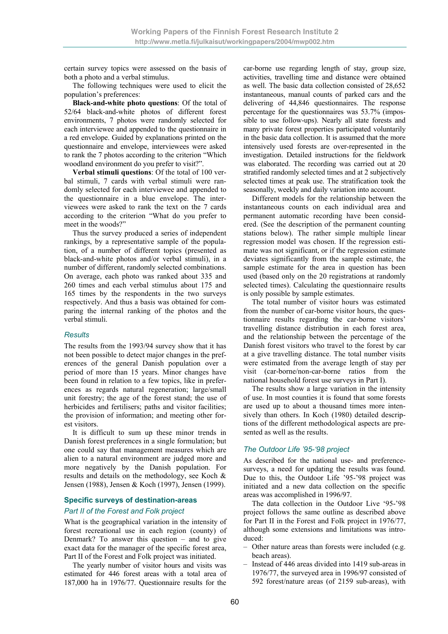certain survey topics were assessed on the basis of both a photo and a verbal stimulus.

The following techniques were used to elicit the population's preferences:

**Black-and-white photo questions**: Of the total of 52/64 black-and-white photos of different forest environments, 7 photos were randomly selected for each interviewee and appended to the questionnaire in a red envelope. Guided by explanations printed on the questionnaire and envelope, interviewees were asked to rank the 7 photos according to the criterion "Which woodland environment do you prefer to visit?".

**Verbal stimuli questions**: Of the total of 100 verbal stimuli, 7 cards with verbal stimuli were randomly selected for each interviewee and appended to the questionnaire in a blue envelope. The interviewees were asked to rank the text on the 7 cards according to the criterion "What do you prefer to meet in the woods?"

Thus the survey produced a series of independent rankings, by a representative sample of the population, of a number of different topics (presented as black-and-white photos and/or verbal stimuli), in a number of different, randomly selected combinations. On average, each photo was ranked about 335 and 260 times and each verbal stimulus about 175 and 165 times by the respondents in the two surveys respectively. And thus a basis was obtained for comparing the internal ranking of the photos and the verbal stimuli.

### *Results*

The results from the 1993/94 survey show that it has not been possible to detect major changes in the preferences of the general Danish population over a period of more than 15 years. Minor changes have been found in relation to a few topics, like in preferences as regards natural regeneration; large/small unit forestry; the age of the forest stand; the use of herbicides and fertilisers; paths and visitor facilities; the provision of information; and meeting other forest visitors.

It is difficult to sum up these minor trends in Danish forest preferences in a single formulation; but one could say that management measures which are alien to a natural environment are judged more and more negatively by the Danish population. For results and details on the methodology, see Koch & Jensen (1988), Jensen & Koch (1997), Jensen (1999).

## **Specific surveys of destination-areas**  *Part II of the Forest and Folk project*

What is the geographical variation in the intensity of forest recreational use in each region (county) of Denmark? To answer this question – and to give exact data for the manager of the specific forest area, Part II of the Forest and Folk project was initiated.

The yearly number of visitor hours and visits was estimated for 446 forest areas with a total area of 187,000 ha in 1976/77. Questionnaire results for the

car-borne use regarding length of stay, group size, activities, travelling time and distance were obtained as well. The basic data collection consisted of 28,652 instantaneous, manual counts of parked cars and the delivering of 44,846 questionnaires. The response percentage for the questionnaires was 53.7% (impossible to use follow-ups). Nearly all state forests and many private forest properties participated voluntarily in the basic data collection. It is assumed that the more intensively used forests are over-represented in the investigation. Detailed instructions for the fieldwork was elaborated. The recording was carried out at 20 stratified randomly selected times and at 2 subjectively selected times at peak use. The stratification took the seasonally, weekly and daily variation into account.

Different models for the relationship between the instantaneous counts on each individual area and permanent automatic recording have been considered. (See the description of the permanent counting stations below). The rather simple multiple linear regression model was chosen. If the regression estimate was not significant, or if the regression estimate deviates significantly from the sample estimate, the sample estimate for the area in question has been used (based only on the 20 registrations at randomly selected times). Calculating the questionnaire results is only possible by sample estimates.

The total number of visitor hours was estimated from the number of car-borne visitor hours, the questionnaire results regarding the car-borne visitors' travelling distance distribution in each forest area, and the relationship between the percentage of the Danish forest visitors who travel to the forest by car at a give travelling distance. The total number visits were estimated from the average length of stay per visit (car-borne/non-car-borne ratios from the national household forest use surveys in Part I).

The results show a large variation in the intensity of use. In most counties it is found that some forests are used up to about a thousand times more intensively than others. In Koch (1980) detailed descriptions of the different methodological aspects are presented as well as the results.

## *The Outdoor Life '95-'98 project*

As described for the national use- and preferencesurveys, a need for updating the results was found. Due to this, the Outdoor Life '95-'98 project was initiated and a new data collection on the specific areas was accomplished in 1996/97.

The data collection in the Outdoor Live '95-'98 project follows the same outline as described above for Part II in the Forest and Folk project in 1976/77, although some extensions and limitations was introduced:

- Other nature areas than forests were included (e.g. beach areas).
- Instead of 446 areas divided into 1419 sub-areas in 1976/77, the surveyed area in 1996/97 consisted of 592 forest/nature areas (of 2159 sub-areas), with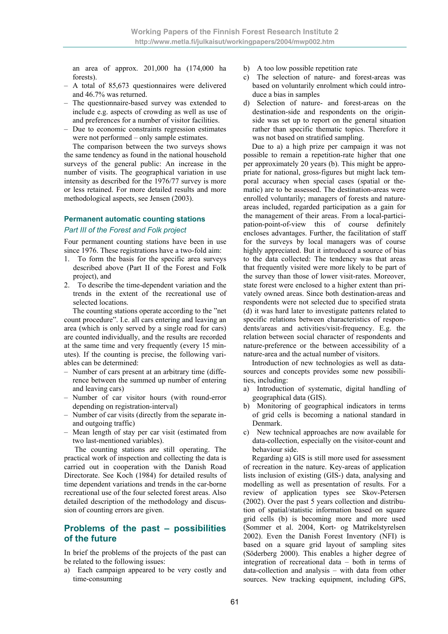an area of approx. 201,000 ha (174,000 ha forests).

- A total of 85,673 questionnaires were delivered and 46.7% was returned.
- The questionnaire-based survey was extended to include e.g. aspects of crowding as well as use of and preferences for a number of visitor facilities.
- Due to economic constraints regression estimates were not performed – only sample estimates.

The comparison between the two surveys shows the same tendency as found in the national household surveys of the general public: An increase in the number of visits. The geographical variation in use intensity as described for the 1976/77 survey is more or less retained. For more detailed results and more methodological aspects, see Jensen (2003).

# **Permanent automatic counting stations**

### *Part III of the Forest and Folk project*

Four permanent counting stations have been in use since 1976. These registrations have a two-fold aim:

- 1. To form the basis for the specific area surveys described above (Part II of the Forest and Folk project), and
- 2. To describe the time-dependent variation and the trends in the extent of the recreational use of selected locations.

The counting stations operate according to the "net count procedure". I.e. all cars entering and leaving an area (which is only served by a single road for cars) are counted individually, and the results are recorded at the same time and very frequently (every 15 minutes). If the counting is precise, the following variables can be determined:

- Number of cars present at an arbitrary time (difference between the summed up number of entering and leaving cars)
- Number of car visitor hours (with round-error depending on registration-interval)
- Number of car visits (directly from the separate inand outgoing traffic)
- Mean length of stay per car visit (estimated from two last-mentioned variables).

 The counting stations are still operating. The practical work of inspection and collecting the data is carried out in cooperation with the Danish Road Directorate. See Koch (1984) for detailed results of time dependent variations and trends in the car-borne recreational use of the four selected forest areas. Also detailed description of the methodology and discussion of counting errors are given.

# **Problems of the past – possibilities of the future**

In brief the problems of the projects of the past can be related to the following issues:

a) Each campaign appeared to be very costly and time-consuming

- b) A too low possible repetition rate
- c) The selection of nature- and forest-areas was based on voluntarily enrolment which could introduce a bias in samples
- d) Selection of nature- and forest-areas on the destination-side and respondents on the originside was set up to report on the general situation rather than specific thematic topics. Therefore it was not based on stratified sampling.

Due to a) a high prize per campaign it was not possible to remain a repetition-rate higher that one per approximately 20 years (b). This might be appropriate for national, gross-figures but might lack temporal accuracy when special cases (spatial or thematic) are to be assessed. The destination-areas were enrolled voluntarily; managers of forests and natureareas included, regarded participation as a gain for the management of their areas. From a local-participation-point-of-view this of course definitely encloses advantages. Further, the facilitation of staff for the surveys by local managers was of course highly appreciated. But it introduced a source of bias to the data collected: The tendency was that areas that frequently visited were more likely to be part of the survey than those of lower visit-rates. Moreover, state forest were enclosed to a higher extent than privately owned areas. Since both destination-areas and respondents were not selected due to specified strata (d) it was hard later to investigate pattenrs related to specific relations between characteristics of respondents/areas and activities/visit-frequency. E.g. the relation between social character of respondents and nature-preference or the between accessibility of a nature-area and the actual number of visitors.

Introduction of new technologies as well as datasources and concepts provides some new possibilities, including:

- a) Introduction of systematic, digital handling of geographical data (GIS).
- b) Monitoring of geographical indicators in terms of grid cells is becoming a national standard in Denmark.
- c) New technical approaches are now available for data-collection, especially on the visitor-count and behaviour side.

Regarding a) GIS is still more used for assessment of recreation in the nature. Key-areas of application lists inclusion of existing (GIS-) data, analysing and modelling as well as presentation of results. For a review of application types see Skov-Petersen (2002). Over the past 5 years collection and distribution of spatial/statistic information based on square grid cells (b) is becoming more and more used (Sommer et al. 2004, Kort- og Matrikelstyrelsen 2002). Even the Danish Forest Inventory (NFI) is based on a square grid layout of sampling sites (Söderberg 2000). This enables a higher degree of integration of recreational data – both in terms of data-collection and analysis – with data from other sources. New tracking equipment, including GPS,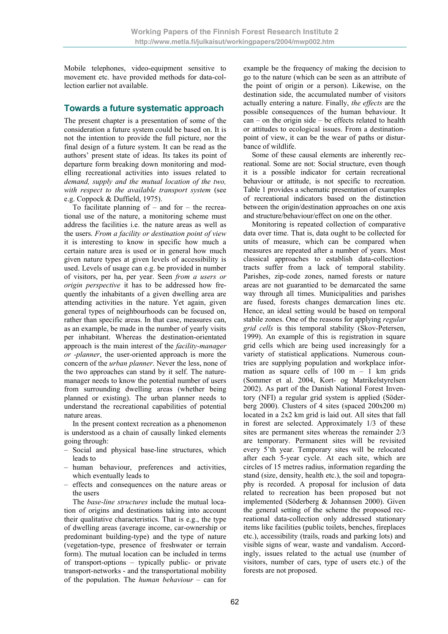Mobile telephones, video-equipment sensitive to movement etc. have provided methods for data-collection earlier not available.

# **Towards a future systematic approach**

The present chapter is a presentation of some of the consideration a future system could be based on. It is not the intention to provide the full picture, nor the final design of a future system. It can be read as the authors' present state of ideas. Its takes its point of departure form breaking down monitoring and modelling recreational activities into issues related to *demand, supply and the mutual location of the two, with respect to the available transport system* (see e.g. Coppock & Duffield, 1975).

To facilitate planning of  $-$  and for  $-$  the recreational use of the nature, a monitoring scheme must address the facilities i.e. the nature areas as well as the users. *From a facility or destination point of view* it is interesting to know in specific how much a certain nature area is used or in general how much given nature types at given levels of accessibility is used. Levels of usage can e.g. be provided in number of visitors, per ha, per year. Seen *from a users or origin perspective* it has to be addressed how frequently the inhabitants of a given dwelling area are attending activities in the nature. Yet again, given general types of neighbourhoods can be focused on, rather than specific areas. In that case, measures can, as an example, be made in the number of yearly visits per inhabitant. Whereas the destination-orientated approach is the main interest of the *facility-manager or -planner*, the user-oriented approach is more the concern of the *urban planner*. Never the less, none of the two approaches can stand by it self. The naturemanager needs to know the potential number of users from surrounding dwelling areas (whether being planned or existing). The urban planner needs to understand the recreational capabilities of potential nature areas.

In the present context recreation as a phenomenon is understood as a chain of causally linked elements going through:

- Social and physical base-line structures, which leads to
- human behaviour, preferences and activities, which eventually leads to
- effects and consequences on the nature areas or the users

The *base-line structures* include the mutual location of origins and destinations taking into account their qualitative characteristics. That is e.g., the type of dwelling areas (average income, car-ownership or predominant building-type) and the type of nature (vegetation-type, presence of freshwater or terrain form). The mutual location can be included in terms of transport-options – typically public- or private transport-networks - and the transportational mobility of the population. The *human behaviour* – can for

example be the frequency of making the decision to go to the nature (which can be seen as an attribute of the point of origin or a person). Likewise, on the destination side, the accumulated number of visitors actually entering a nature. Finally, *the effects* are the possible consequences of the human behaviour. It  $can$  – on the origin side – be effects related to health or attitudes to ecological issues. From a destinationpoint of view, it can be the wear of paths or disturbance of wildlife.

Some of these causal elements are inherently recreational. Some are not: Social structure, even though it is a possible indicator for certain recreational behaviour or attitude, is not specific to recreation. Table 1 provides a schematic presentation of examples of recreational indicators based on the distinction between the origin/destination approaches on one axis and structure/behaviour/effect on one on the other.

Monitoring is repeated collection of comparative data over time. That is, data ought to be collected for units of measure, which can be compared when measures are repeated after a number of years. Most classical approaches to establish data-collectiontracts suffer from a lack of temporal stability. Parishes, zip-code zones, named forests or nature areas are not guarantied to be demarcated the same way through all times. Municipalities and parishes are fused, forests changes demarcation lines etc. Hence, an ideal setting would be based on temporal stabile zones. One of the reasons for applying *regular grid cells* is this temporal stability (Skov-Petersen, 1999). An example of this is registration in square grid cells which are being used increasingly for a variety of statistical applications. Numerous countries are supplying population and workplace information as square cells of  $100 \text{ m} - 1 \text{ km}$  grids (Sommer et al. 2004, Kort- og Matrikelstyrelsen 2002). As part of the Danish National Forest Inventory (NFI) a regular grid system is applied (Söderberg 2000). Clusters of 4 sites (spaced 200x200 m) located in a 2x2 km grid is laid out. All sites that fall in forest are selected. Approximately 1/3 of these sites are permanent sites whereas the remainder 2/3 are temporary. Permanent sites will be revisited every 5'th year. Temporary sites will be relocated after each 5-year cycle. At each site, which are circles of 15 metres radius, information regarding the stand (size, density, health etc.), the soil and topography is recorded. A proposal for inclusion of data related to recreation has been proposed but not implemented (Söderberg & Johannsen 2000). Given the general setting of the scheme the proposed recreational data-collection only addressed stationary items like facilities (public toilets, benches, fireplaces etc.), accessibility (trails, roads and parking lots) and visible signs of wear, waste and vandalism. Accordingly, issues related to the actual use (number of visitors, number of cars, type of users etc.) of the forests are not proposed.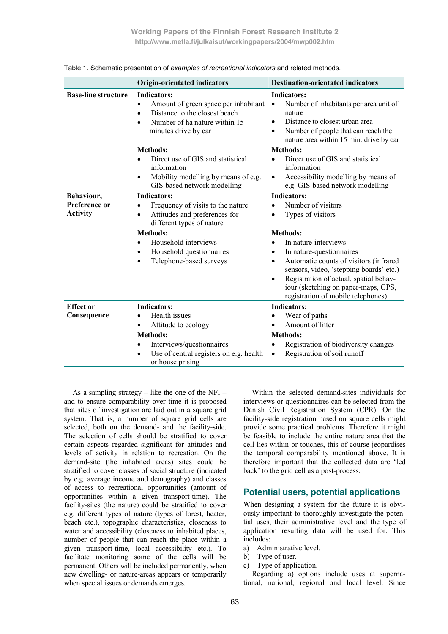|                                                | <b>Origin-orientated indicators</b>                                                                                                                                                                                                               | <b>Destination-orientated indicators</b>                                                                                                                                                                                                                                                                        |
|------------------------------------------------|---------------------------------------------------------------------------------------------------------------------------------------------------------------------------------------------------------------------------------------------------|-----------------------------------------------------------------------------------------------------------------------------------------------------------------------------------------------------------------------------------------------------------------------------------------------------------------|
| <b>Base-line structure</b>                     | Indicators:<br>Amount of green space per inhabitant<br>$\bullet$<br>Distance to the closest beach<br>$\bullet$<br>Number of ha nature within 15<br>minutes drive by car                                                                           | <b>Indicators:</b><br>Number of inhabitants per area unit of<br>$\bullet$<br>nature<br>Distance to closest urban area<br>$\bullet$<br>Number of people that can reach the<br>$\bullet$<br>nature area within 15 min. drive by car                                                                               |
|                                                | <b>Methods:</b><br>Direct use of GIS and statistical<br>information<br>Mobility modelling by means of e.g.<br>$\bullet$<br>GIS-based network modelling                                                                                            | <b>Methods:</b><br>Direct use of GIS and statistical<br>$\bullet$<br>information<br>Accessibility modelling by means of<br>$\bullet$<br>e.g. GIS-based network modelling                                                                                                                                        |
| Behaviour,<br>Preference or<br><b>Activity</b> | <b>Indicators:</b><br>Frequency of visits to the nature<br>Attitudes and preferences for<br>$\bullet$<br>different types of nature<br><b>Methods:</b><br>Household interviews<br>$\bullet$<br>Household questionnaires<br>Telephone-based surveys | <b>Indicators:</b><br>Number of visitors<br>Types of visitors<br>$\bullet$<br><b>Methods:</b><br>In nature-interviews<br>In nature-questionnaires<br>٠<br>Automatic counts of visitors (infrared<br>$\bullet$<br>sensors, video, 'stepping boards' etc.)<br>Registration of actual, spatial behav-<br>$\bullet$ |
|                                                |                                                                                                                                                                                                                                                   | iour (sketching on paper-maps, GPS,<br>registration of mobile telephones)                                                                                                                                                                                                                                       |
| <b>Effect</b> or<br>Consequence                | <b>Indicators:</b><br>Health issues<br>Attitude to ecology<br>٠<br><b>Methods:</b><br>Interviews/questionnaires<br>$\bullet$<br>Use of central registers on e.g. health<br>$\bullet$<br>or house prising                                          | <b>Indicators:</b><br>Wear of paths<br>Amount of litter<br><b>Methods:</b><br>Registration of biodiversity changes<br>$\bullet$<br>Registration of soil runoff<br>$\bullet$                                                                                                                                     |

|  | Table 1. Schematic presentation of examples of recreational indicators and related methods. |
|--|---------------------------------------------------------------------------------------------|
|--|---------------------------------------------------------------------------------------------|

As a sampling strategy – like the one of the NFI – and to ensure comparability over time it is proposed that sites of investigation are laid out in a square grid system. That is, a number of square grid cells are selected, both on the demand- and the facility-side. The selection of cells should be stratified to cover certain aspects regarded significant for attitudes and levels of activity in relation to recreation. On the demand-site (the inhabited areas) sites could be stratified to cover classes of social structure (indicated by e.g. average income and demography) and classes of access to recreational opportunities (amount of opportunities within a given transport-time). The facility-sites (the nature) could be stratified to cover e.g. different types of nature (types of forest, heater, beach etc.), topographic characteristics, closeness to water and accessibility (closeness to inhabited places, number of people that can reach the place within a given transport-time, local accessibility etc.). To facilitate monitoring some of the cells will be permanent. Others will be included permanently, when new dwelling- or nature-areas appears or temporarily when special issues or demands emerges.

Within the selected demand-sites individuals for interviews or questionnaires can be selected from the Danish Civil Registration System (CPR). On the facility-side registration based on square cells might provide some practical problems. Therefore it might be feasible to include the entire nature area that the cell lies within or touches, this of course jeopardises the temporal comparability mentioned above. It is therefore important that the collected data are 'fed back' to the grid cell as a post-process.

## **Potential users, potential applications**

When designing a system for the future it is obviously important to thoroughly investigate the potential uses, their administrative level and the type of application resulting data will be used for. This includes:

- a) Administrative level.
- b) Type of user.
- c) Type of application.

Regarding a) options include uses at supernational, national, regional and local level. Since